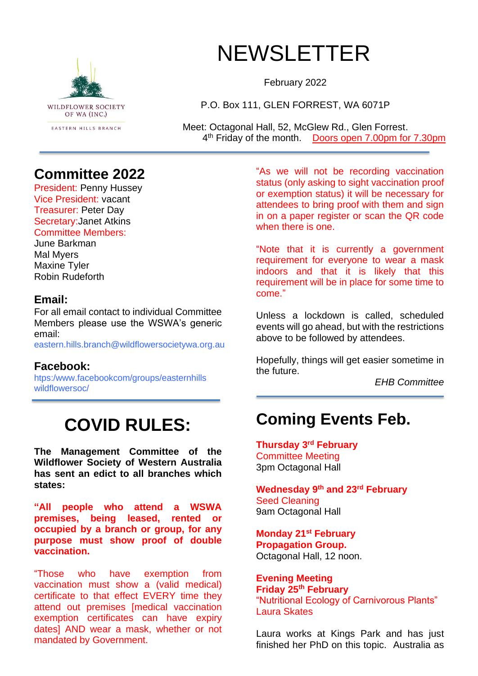

# **NEWSLETTER**

February 2022

P.O. Box 111, GLEN FORREST, WA 6071P

Meet: Octagonal Hall, 52, McGlew Rd., Glen Forrest. 4<sup>th</sup> Friday of the month. Doors open 7.00pm for 7.30pm

#### **Committee 2022**

President: Penny Hussey Vice President: vacant Treasurer: Peter Day Secretary:Janet Atkins Committee Members:

June Barkman Mal Myers Maxine Tyler Robin Rudeforth

#### **Email:**

For all email contact to individual Committee Members please use the WSWA's generic email:

eastern.hills.branch@wildflowersocietywa.org.au

#### **Facebook:**

htps:/www.facebookcom/groups/easternhills wildflowersoc/

# **COVID RULES:**

**The Management Committee of the Wildflower Society of Western Australia has sent an edict to all branches which states:**

**"All people who attend a WSWA premises, being leased, rented or occupied by a branch or group, for any purpose must show proof of double vaccination.**

"Those who have exemption from vaccination must show a (valid medical) certificate to that effect EVERY time they attend out premises [medical vaccination exemption certificates can have expiry dates] AND wear a mask, whether or not mandated by Government.

"As we will not be recording vaccination status (only asking to sight vaccination proof or exemption status) it will be necessary for attendees to bring proof with them and sign in on a paper register or scan the QR code when there is one.

"Note that it is currently a government requirement for everyone to wear a mask indoors and that it is likely that this requirement will be in place for some time to come."

Unless a lockdown is called, scheduled events will go ahead, but with the restrictions above to be followed by attendees.

Hopefully, things will get easier sometime in the future.

*EHB Committee*

## **Coming Events Feb.**

**Thursday 3 rd February** Committee Meeting 3pm Octagonal Hall

**Wednesday 9 th and 23rd February** Seed Cleaning 9am Octagonal Hall

**Monday 21st February Propagation Group.**  Octagonal Hall, 12 noon.

**Evening Meeting Friday 25th February** "Nutritional Ecology of Carnivorous Plants" Laura Skates

Laura works at Kings Park and has just finished her PhD on this topic. Australia as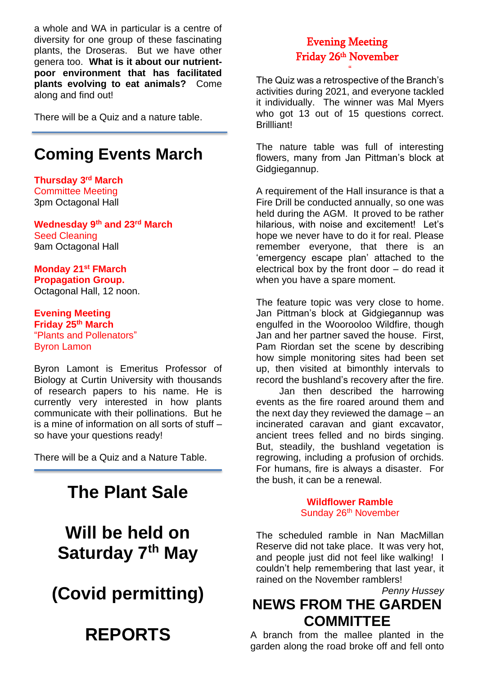a whole and WA in particular is a centre of diversity for one group of these fascinating plants, the Droseras. But we have other genera too. **What is it about our nutrientpoor environment that has facilitated plants evolving to eat animals?** Come along and find out!

There will be a Quiz and a nature table.

### **Coming Events March**

**Thursday 3 rd March** Committee Meeting 3pm Octagonal Hall

**Wednesday 9th and 23rd March** Seed Cleaning 9am Octagonal Hall

**Monday 21st FMarch Propagation Group.**  Octagonal Hall, 12 noon.

**Evening Meeting Friday 25th March** "Plants and Pollenators" Byron Lamon

Byron Lamont is Emeritus Professor of Biology at Curtin University with thousands of research papers to his name. He is currently very interested in how plants communicate with their pollinations. But he is a mine of information on all sorts of stuff – so have your questions ready!

There will be a Quiz and a Nature Table.

## **The Plant Sale**

**Will be held on Saturday 7th May**

**(Covid permitting)**

# **REPORTS**

#### Evening Meeting Friday 26th November

"

The Quiz was a retrospective of the Branch's activities during 2021, and everyone tackled it individually. The winner was Mal Myers who got 13 out of 15 questions correct. Brillliant!

The nature table was full of interesting flowers, many from Jan Pittman's block at Gidgiegannup.

A requirement of the Hall insurance is that a Fire Drill be conducted annually, so one was held during the AGM. It proved to be rather hilarious, with noise and excitement! Let's hope we never have to do it for real. Please remember everyone, that there is an 'emergency escape plan' attached to the electrical box by the front door – do read it when you have a spare moment.

The feature topic was very close to home. Jan Pittman's block at Gidgiegannup was engulfed in the Woorooloo Wildfire, though Jan and her partner saved the house. First, Pam Riordan set the scene by describing how simple monitoring sites had been set up, then visited at bimonthly intervals to record the bushland's recovery after the fire.

Jan then described the harrowing events as the fire roared around them and the next day they reviewed the damage – an incinerated caravan and giant excavator, ancient trees felled and no birds singing. But, steadily, the bushland vegetation is regrowing, including a profusion of orchids. For humans, fire is always a disaster. For the bush, it can be a renewal.

> **Wildflower Ramble** Sunday 26<sup>th</sup> November

The scheduled ramble in Nan MacMillan Reserve did not take place. It was very hot, and people just did not feel like walking! I couldn't help remembering that last year, it rained on the November ramblers!

#### *Penny Hussey* **NEWS FROM THE GARDEN COMMITTEE**

A branch from the mallee planted in the garden along the road broke off and fell onto